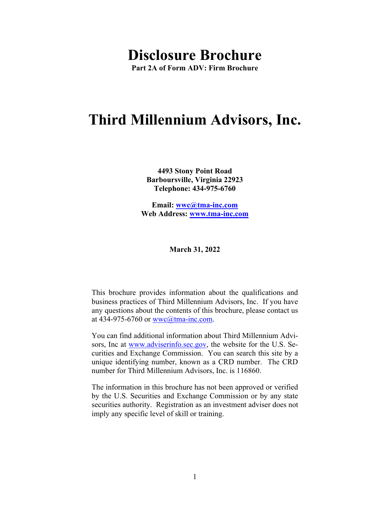# **Disclosure Brochure**

**Part 2A of Form ADV: Firm Brochure** 

# **Third Millennium Advisors, Inc.**

**4493 Stony Point Road Barboursville, Virginia 22923 Telephone: 434-975-6760** 

**Email: wwc@tma-inc.com Web Address: www.tma-inc.com** 

**March 31, 2022** 

This brochure provides information about the qualifications and business practices of Third Millennium Advisors, Inc. If you have any questions about the contents of this brochure, please contact us at 434-975-6760 or wwc@tma-inc.com.

You can find additional information about Third Millennium Advisors, Inc at www.adviserinfo.sec.gov, the website for the U.S. Securities and Exchange Commission. You can search this site by a unique identifying number, known as a CRD number. The CRD number for Third Millennium Advisors, Inc. is 116860.

The information in this brochure has not been approved or verified by the U.S. Securities and Exchange Commission or by any state securities authority. Registration as an investment adviser does not imply any specific level of skill or training.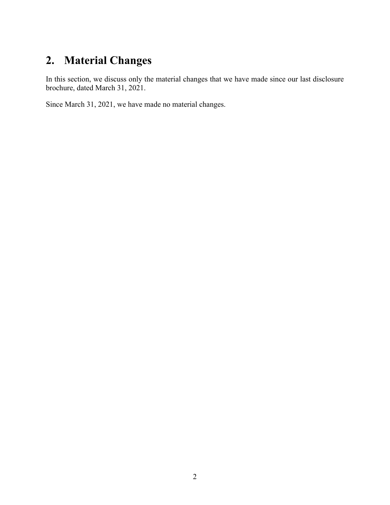# **2. Material Changes**

In this section, we discuss only the material changes that we have made since our last disclosure brochure, dated March 31, 2021.

Since March 31, 2021, we have made no material changes.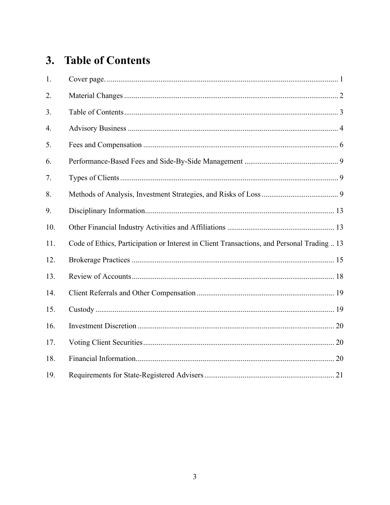# 3. Table of Contents

| 1.  |                                                                                            |
|-----|--------------------------------------------------------------------------------------------|
| 2.  |                                                                                            |
| 3.  |                                                                                            |
| 4.  |                                                                                            |
| 5.  |                                                                                            |
| 6.  |                                                                                            |
| 7.  |                                                                                            |
| 8.  |                                                                                            |
| 9.  |                                                                                            |
| 10. |                                                                                            |
| 11. | Code of Ethics, Participation or Interest in Client Transactions, and Personal Trading  13 |
| 12. |                                                                                            |
| 13. |                                                                                            |
| 14. |                                                                                            |
| 15. |                                                                                            |
| 16. |                                                                                            |
| 17. |                                                                                            |
| 18. |                                                                                            |
| 19. |                                                                                            |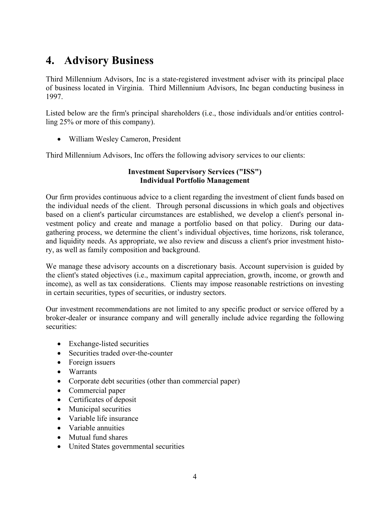# **4. Advisory Business**

Third Millennium Advisors, Inc is a state-registered investment adviser with its principal place of business located in Virginia. Third Millennium Advisors, Inc began conducting business in 1997.

Listed below are the firm's principal shareholders (i.e., those individuals and/or entities controlling 25% or more of this company).

William Wesley Cameron, President

Third Millennium Advisors, Inc offers the following advisory services to our clients:

#### **Investment Supervisory Services ("ISS") Individual Portfolio Management**

Our firm provides continuous advice to a client regarding the investment of client funds based on the individual needs of the client. Through personal discussions in which goals and objectives based on a client's particular circumstances are established, we develop a client's personal investment policy and create and manage a portfolio based on that policy. During our datagathering process, we determine the client's individual objectives, time horizons, risk tolerance, and liquidity needs. As appropriate, we also review and discuss a client's prior investment history, as well as family composition and background.

We manage these advisory accounts on a discretionary basis. Account supervision is guided by the client's stated objectives (i.e., maximum capital appreciation, growth, income, or growth and income), as well as tax considerations. Clients may impose reasonable restrictions on investing in certain securities, types of securities, or industry sectors.

Our investment recommendations are not limited to any specific product or service offered by a broker-dealer or insurance company and will generally include advice regarding the following securities:

- Exchange-listed securities
- Securities traded over-the-counter
- Foreign issuers
- Warrants
- Corporate debt securities (other than commercial paper)
- Commercial paper
- Certificates of deposit
- Municipal securities
- Variable life insurance
- Variable annuities
- Mutual fund shares
- United States governmental securities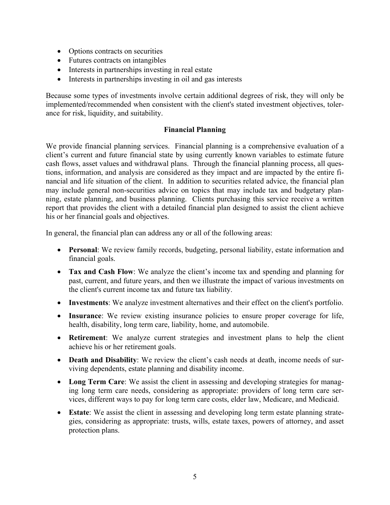- Options contracts on securities
- Futures contracts on intangibles
- Interests in partnerships investing in real estate
- Interests in partnerships investing in oil and gas interests

Because some types of investments involve certain additional degrees of risk, they will only be implemented/recommended when consistent with the client's stated investment objectives, tolerance for risk, liquidity, and suitability.

#### **Financial Planning**

We provide financial planning services. Financial planning is a comprehensive evaluation of a client's current and future financial state by using currently known variables to estimate future cash flows, asset values and withdrawal plans. Through the financial planning process, all questions, information, and analysis are considered as they impact and are impacted by the entire financial and life situation of the client. In addition to securities related advice, the financial plan may include general non-securities advice on topics that may include tax and budgetary planning, estate planning, and business planning. Clients purchasing this service receive a written report that provides the client with a detailed financial plan designed to assist the client achieve his or her financial goals and objectives.

In general, the financial plan can address any or all of the following areas:

- **Personal**: We review family records, budgeting, personal liability, estate information and financial goals.
- **Tax and Cash Flow**: We analyze the client's income tax and spending and planning for past, current, and future years, and then we illustrate the impact of various investments on the client's current income tax and future tax liability.
- **Investments**: We analyze investment alternatives and their effect on the client's portfolio.
- **Insurance**: We review existing insurance policies to ensure proper coverage for life, health, disability, long term care, liability, home, and automobile.
- **Retirement**: We analyze current strategies and investment plans to help the client achieve his or her retirement goals.
- **Death and Disability**: We review the client's cash needs at death, income needs of surviving dependents, estate planning and disability income.
- **Long Term Care**: We assist the client in assessing and developing strategies for managing long term care needs, considering as appropriate: providers of long term care services, different ways to pay for long term care costs, elder law, Medicare, and Medicaid.
- **Estate**: We assist the client in assessing and developing long term estate planning strategies, considering as appropriate: trusts, wills, estate taxes, powers of attorney, and asset protection plans.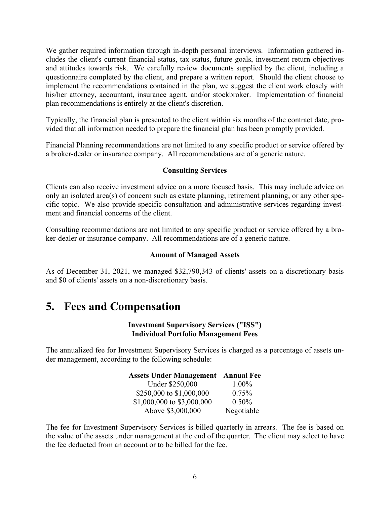We gather required information through in-depth personal interviews. Information gathered includes the client's current financial status, tax status, future goals, investment return objectives and attitudes towards risk. We carefully review documents supplied by the client, including a questionnaire completed by the client, and prepare a written report. Should the client choose to implement the recommendations contained in the plan, we suggest the client work closely with his/her attorney, accountant, insurance agent, and/or stockbroker. Implementation of financial plan recommendations is entirely at the client's discretion.

Typically, the financial plan is presented to the client within six months of the contract date, provided that all information needed to prepare the financial plan has been promptly provided.

Financial Planning recommendations are not limited to any specific product or service offered by a broker-dealer or insurance company. All recommendations are of a generic nature.

#### **Consulting Services**

Clients can also receive investment advice on a more focused basis. This may include advice on only an isolated area(s) of concern such as estate planning, retirement planning, or any other specific topic. We also provide specific consultation and administrative services regarding investment and financial concerns of the client.

Consulting recommendations are not limited to any specific product or service offered by a broker-dealer or insurance company. All recommendations are of a generic nature.

#### **Amount of Managed Assets**

As of December 31, 2021, we managed \$32,790,343 of clients' assets on a discretionary basis and \$0 of clients' assets on a non-discretionary basis.

### **5. Fees and Compensation**

#### **Investment Supervisory Services ("ISS") Individual Portfolio Management Fees**

The annualized fee for Investment Supervisory Services is charged as a percentage of assets under management, according to the following schedule:

### **Assets Under Management Annual Fee**

| Under \$250,000            | $1.00\%$   |
|----------------------------|------------|
| \$250,000 to \$1,000,000   | $0.75\%$   |
| \$1,000,000 to \$3,000,000 | $0.50\%$   |
| Above \$3,000,000          | Negotiable |

The fee for Investment Supervisory Services is billed quarterly in arrears. The fee is based on the value of the assets under management at the end of the quarter. The client may select to have the fee deducted from an account or to be billed for the fee.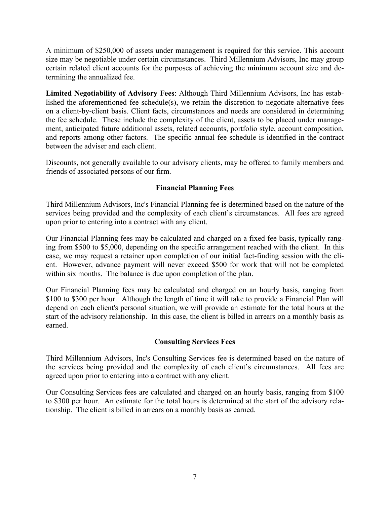A minimum of \$250,000 of assets under management is required for this service. This account size may be negotiable under certain circumstances. Third Millennium Advisors, Inc may group certain related client accounts for the purposes of achieving the minimum account size and determining the annualized fee.

**Limited Negotiability of Advisory Fees**: Although Third Millennium Advisors, Inc has established the aforementioned fee schedule(s), we retain the discretion to negotiate alternative fees on a client-by-client basis. Client facts, circumstances and needs are considered in determining the fee schedule. These include the complexity of the client, assets to be placed under management, anticipated future additional assets, related accounts, portfolio style, account composition, and reports among other factors. The specific annual fee schedule is identified in the contract between the adviser and each client.

Discounts, not generally available to our advisory clients, may be offered to family members and friends of associated persons of our firm.

#### **Financial Planning Fees**

Third Millennium Advisors, Inc's Financial Planning fee is determined based on the nature of the services being provided and the complexity of each client's circumstances. All fees are agreed upon prior to entering into a contract with any client.

Our Financial Planning fees may be calculated and charged on a fixed fee basis, typically ranging from \$500 to \$5,000, depending on the specific arrangement reached with the client. In this case, we may request a retainer upon completion of our initial fact-finding session with the client. However, advance payment will never exceed \$500 for work that will not be completed within six months. The balance is due upon completion of the plan.

Our Financial Planning fees may be calculated and charged on an hourly basis, ranging from \$100 to \$300 per hour. Although the length of time it will take to provide a Financial Plan will depend on each client's personal situation, we will provide an estimate for the total hours at the start of the advisory relationship. In this case, the client is billed in arrears on a monthly basis as earned.

#### **Consulting Services Fees**

Third Millennium Advisors, Inc's Consulting Services fee is determined based on the nature of the services being provided and the complexity of each client's circumstances. All fees are agreed upon prior to entering into a contract with any client.

Our Consulting Services fees are calculated and charged on an hourly basis, ranging from \$100 to \$300 per hour. An estimate for the total hours is determined at the start of the advisory relationship. The client is billed in arrears on a monthly basis as earned.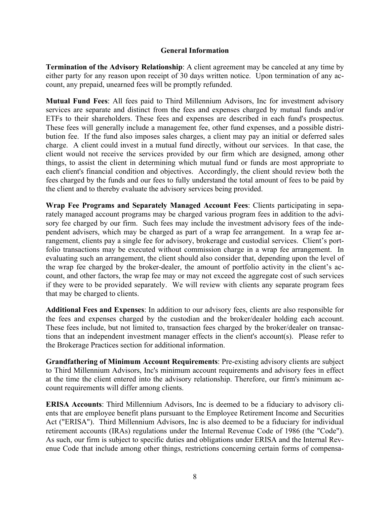#### **General Information**

**Termination of the Advisory Relationship**: A client agreement may be canceled at any time by either party for any reason upon receipt of 30 days written notice. Upon termination of any account, any prepaid, unearned fees will be promptly refunded.

**Mutual Fund Fees**: All fees paid to Third Millennium Advisors, Inc for investment advisory services are separate and distinct from the fees and expenses charged by mutual funds and/or ETFs to their shareholders. These fees and expenses are described in each fund's prospectus. These fees will generally include a management fee, other fund expenses, and a possible distribution fee. If the fund also imposes sales charges, a client may pay an initial or deferred sales charge. A client could invest in a mutual fund directly, without our services. In that case, the client would not receive the services provided by our firm which are designed, among other things, to assist the client in determining which mutual fund or funds are most appropriate to each client's financial condition and objectives. Accordingly, the client should review both the fees charged by the funds and our fees to fully understand the total amount of fees to be paid by the client and to thereby evaluate the advisory services being provided.

**Wrap Fee Programs and Separately Managed Account Fees**: Clients participating in separately managed account programs may be charged various program fees in addition to the advisory fee charged by our firm. Such fees may include the investment advisory fees of the independent advisers, which may be charged as part of a wrap fee arrangement. In a wrap fee arrangement, clients pay a single fee for advisory, brokerage and custodial services. Client's portfolio transactions may be executed without commission charge in a wrap fee arrangement. In evaluating such an arrangement, the client should also consider that, depending upon the level of the wrap fee charged by the broker-dealer, the amount of portfolio activity in the client's account, and other factors, the wrap fee may or may not exceed the aggregate cost of such services if they were to be provided separately. We will review with clients any separate program fees that may be charged to clients.

**Additional Fees and Expenses**: In addition to our advisory fees, clients are also responsible for the fees and expenses charged by the custodian and the broker/dealer holding each account. These fees include, but not limited to, transaction fees charged by the broker/dealer on transactions that an independent investment manager effects in the client's account(s). Please refer to the Brokerage Practices section for additional information.

**Grandfathering of Minimum Account Requirements**: Pre-existing advisory clients are subject to Third Millennium Advisors, Inc's minimum account requirements and advisory fees in effect at the time the client entered into the advisory relationship. Therefore, our firm's minimum account requirements will differ among clients.

**ERISA Accounts**: Third Millennium Advisors, Inc is deemed to be a fiduciary to advisory clients that are employee benefit plans pursuant to the Employee Retirement Income and Securities Act ("ERISA"). Third Millennium Advisors, Inc is also deemed to be a fiduciary for individual retirement accounts (IRAs) regulations under the Internal Revenue Code of 1986 (the "Code"). As such, our firm is subject to specific duties and obligations under ERISA and the Internal Revenue Code that include among other things, restrictions concerning certain forms of compensa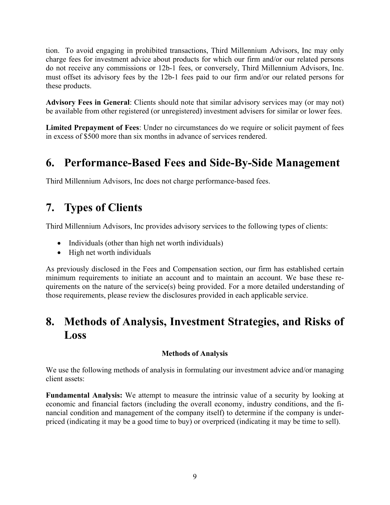tion. To avoid engaging in prohibited transactions, Third Millennium Advisors, Inc may only charge fees for investment advice about products for which our firm and/or our related persons do not receive any commissions or 12b-1 fees, or conversely, Third Millennium Advisors, Inc. must offset its advisory fees by the 12b-1 fees paid to our firm and/or our related persons for these products.

**Advisory Fees in General**: Clients should note that similar advisory services may (or may not) be available from other registered (or unregistered) investment advisers for similar or lower fees.

**Limited Prepayment of Fees**: Under no circumstances do we require or solicit payment of fees in excess of \$500 more than six months in advance of services rendered.

### **6. Performance-Based Fees and Side-By-Side Management**

Third Millennium Advisors, Inc does not charge performance-based fees.

# **7. Types of Clients**

Third Millennium Advisors, Inc provides advisory services to the following types of clients:

- Individuals (other than high net worth individuals)
- High net worth individuals

As previously disclosed in the Fees and Compensation section, our firm has established certain minimum requirements to initiate an account and to maintain an account. We base these requirements on the nature of the service(s) being provided. For a more detailed understanding of those requirements, please review the disclosures provided in each applicable service.

### **8. Methods of Analysis, Investment Strategies, and Risks of Loss**

#### **Methods of Analysis**

We use the following methods of analysis in formulating our investment advice and/or managing client assets:

**Fundamental Analysis:** We attempt to measure the intrinsic value of a security by looking at economic and financial factors (including the overall economy, industry conditions, and the financial condition and management of the company itself) to determine if the company is underpriced (indicating it may be a good time to buy) or overpriced (indicating it may be time to sell).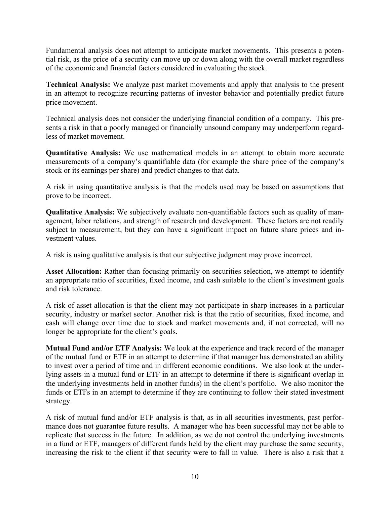Fundamental analysis does not attempt to anticipate market movements. This presents a potential risk, as the price of a security can move up or down along with the overall market regardless of the economic and financial factors considered in evaluating the stock.

**Technical Analysis:** We analyze past market movements and apply that analysis to the present in an attempt to recognize recurring patterns of investor behavior and potentially predict future price movement.

Technical analysis does not consider the underlying financial condition of a company. This presents a risk in that a poorly managed or financially unsound company may underperform regardless of market movement.

**Quantitative Analysis:** We use mathematical models in an attempt to obtain more accurate measurements of a company's quantifiable data (for example the share price of the company's stock or its earnings per share) and predict changes to that data.

A risk in using quantitative analysis is that the models used may be based on assumptions that prove to be incorrect.

**Qualitative Analysis:** We subjectively evaluate non-quantifiable factors such as quality of management, labor relations, and strength of research and development. These factors are not readily subject to measurement, but they can have a significant impact on future share prices and investment values.

A risk is using qualitative analysis is that our subjective judgment may prove incorrect.

**Asset Allocation:** Rather than focusing primarily on securities selection, we attempt to identify an appropriate ratio of securities, fixed income, and cash suitable to the client's investment goals and risk tolerance.

A risk of asset allocation is that the client may not participate in sharp increases in a particular security, industry or market sector. Another risk is that the ratio of securities, fixed income, and cash will change over time due to stock and market movements and, if not corrected, will no longer be appropriate for the client's goals.

**Mutual Fund and/or ETF Analysis:** We look at the experience and track record of the manager of the mutual fund or ETF in an attempt to determine if that manager has demonstrated an ability to invest over a period of time and in different economic conditions. We also look at the underlying assets in a mutual fund or ETF in an attempt to determine if there is significant overlap in the underlying investments held in another fund(s) in the client's portfolio. We also monitor the funds or ETFs in an attempt to determine if they are continuing to follow their stated investment strategy.

A risk of mutual fund and/or ETF analysis is that, as in all securities investments, past performance does not guarantee future results. A manager who has been successful may not be able to replicate that success in the future. In addition, as we do not control the underlying investments in a fund or ETF, managers of different funds held by the client may purchase the same security, increasing the risk to the client if that security were to fall in value. There is also a risk that a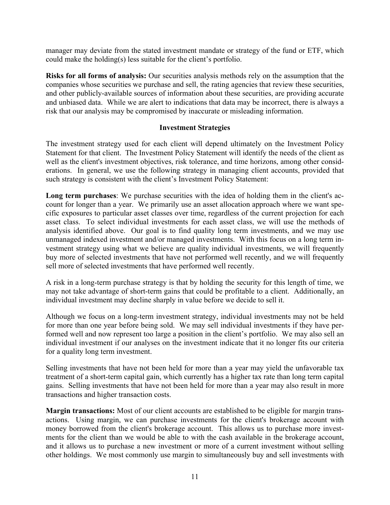manager may deviate from the stated investment mandate or strategy of the fund or ETF, which could make the holding(s) less suitable for the client's portfolio.

**Risks for all forms of analysis:** Our securities analysis methods rely on the assumption that the companies whose securities we purchase and sell, the rating agencies that review these securities, and other publicly-available sources of information about these securities, are providing accurate and unbiased data. While we are alert to indications that data may be incorrect, there is always a risk that our analysis may be compromised by inaccurate or misleading information.

#### **Investment Strategies**

The investment strategy used for each client will depend ultimately on the Investment Policy Statement for that client. The Investment Policy Statement will identify the needs of the client as well as the client's investment objectives, risk tolerance, and time horizons, among other considerations. In general, we use the following strategy in managing client accounts, provided that such strategy is consistent with the client's Investment Policy Statement:

**Long term purchases**: We purchase securities with the idea of holding them in the client's account for longer than a year. We primarily use an asset allocation approach where we want specific exposures to particular asset classes over time, regardless of the current projection for each asset class. To select individual investments for each asset class, we will use the methods of analysis identified above. Our goal is to find quality long term investments, and we may use unmanaged indexed investment and/or managed investments. With this focus on a long term investment strategy using what we believe are quality individual investments, we will frequently buy more of selected investments that have not performed well recently, and we will frequently sell more of selected investments that have performed well recently.

A risk in a long-term purchase strategy is that by holding the security for this length of time, we may not take advantage of short-term gains that could be profitable to a client. Additionally, an individual investment may decline sharply in value before we decide to sell it.

Although we focus on a long-term investment strategy, individual investments may not be held for more than one year before being sold. We may sell individual investments if they have performed well and now represent too large a position in the client's portfolio. We may also sell an individual investment if our analyses on the investment indicate that it no longer fits our criteria for a quality long term investment.

Selling investments that have not been held for more than a year may yield the unfavorable tax treatment of a short-term capital gain, which currently has a higher tax rate than long term capital gains. Selling investments that have not been held for more than a year may also result in more transactions and higher transaction costs.

**Margin transactions:** Most of our client accounts are established to be eligible for margin transactions. Using margin, we can purchase investments for the client's brokerage account with money borrowed from the client's brokerage account. This allows us to purchase more investments for the client than we would be able to with the cash available in the brokerage account, and it allows us to purchase a new investment or more of a current investment without selling other holdings. We most commonly use margin to simultaneously buy and sell investments with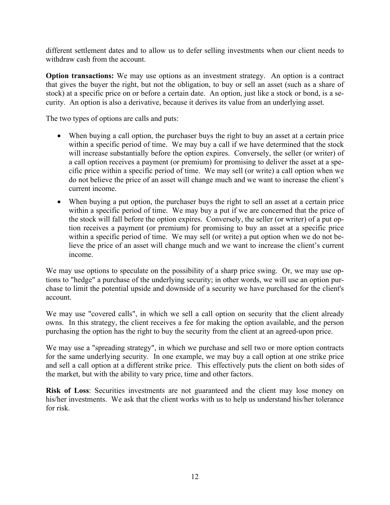different settlement dates and to allow us to defer selling investments when our client needs to withdraw cash from the account.

**Option transactions:** We may use options as an investment strategy. An option is a contract that gives the buyer the right, but not the obligation, to buy or sell an asset (such as a share of stock) at a specific price on or before a certain date. An option, just like a stock or bond, is a security. An option is also a derivative, because it derives its value from an underlying asset.

The two types of options are calls and puts:

- When buying a call option, the purchaser buys the right to buy an asset at a certain price within a specific period of time. We may buy a call if we have determined that the stock will increase substantially before the option expires. Conversely, the seller (or writer) of a call option receives a payment (or premium) for promising to deliver the asset at a specific price within a specific period of time. We may sell (or write) a call option when we do not believe the price of an asset will change much and we want to increase the client's current income.
- When buying a put option, the purchaser buys the right to sell an asset at a certain price within a specific period of time. We may buy a put if we are concerned that the price of the stock will fall before the option expires. Conversely, the seller (or writer) of a put option receives a payment (or premium) for promising to buy an asset at a specific price within a specific period of time. We may sell (or write) a put option when we do not believe the price of an asset will change much and we want to increase the client's current income.

We may use options to speculate on the possibility of a sharp price swing. Or, we may use options to "hedge" a purchase of the underlying security; in other words, we will use an option purchase to limit the potential upside and downside of a security we have purchased for the client's account.

We may use "covered calls", in which we sell a call option on security that the client already owns. In this strategy, the client receives a fee for making the option available, and the person purchasing the option has the right to buy the security from the client at an agreed-upon price.

We may use a "spreading strategy", in which we purchase and sell two or more option contracts for the same underlying security. In one example, we may buy a call option at one strike price and sell a call option at a different strike price. This effectively puts the client on both sides of the market, but with the ability to vary price, time and other factors.

**Risk of Loss**: Securities investments are not guaranteed and the client may lose money on his/her investments. We ask that the client works with us to help us understand his/her tolerance for risk.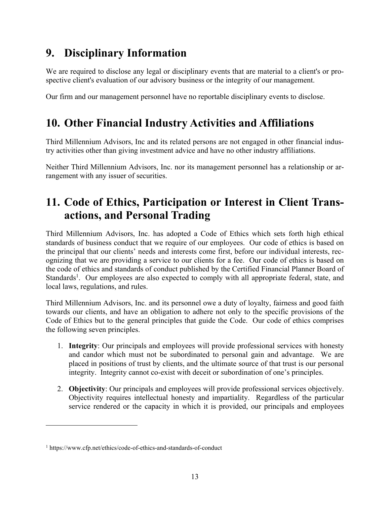# **9. Disciplinary Information**

We are required to disclose any legal or disciplinary events that are material to a client's or prospective client's evaluation of our advisory business or the integrity of our management.

Our firm and our management personnel have no reportable disciplinary events to disclose.

## **10. Other Financial Industry Activities and Affiliations**

Third Millennium Advisors, Inc and its related persons are not engaged in other financial industry activities other than giving investment advice and have no other industry affiliations.

Neither Third Millennium Advisors, Inc. nor its management personnel has a relationship or arrangement with any issuer of securities.

# **11. Code of Ethics, Participation or Interest in Client Transactions, and Personal Trading**

Third Millennium Advisors, Inc. has adopted a Code of Ethics which sets forth high ethical standards of business conduct that we require of our employees. Our code of ethics is based on the principal that our clients' needs and interests come first, before our individual interests, recognizing that we are providing a service to our clients for a fee. Our code of ethics is based on the code of ethics and standards of conduct published by the Certified Financial Planner Board of Standards<sup>1</sup>. Our employees are also expected to comply with all appropriate federal, state, and local laws, regulations, and rules.

Third Millennium Advisors, Inc. and its personnel owe a duty of loyalty, fairness and good faith towards our clients, and have an obligation to adhere not only to the specific provisions of the Code of Ethics but to the general principles that guide the Code. Our code of ethics comprises the following seven principles.

- 1. **Integrity**: Our principals and employees will provide professional services with honesty and candor which must not be subordinated to personal gain and advantage. We are placed in positions of trust by clients, and the ultimate source of that trust is our personal integrity. Integrity cannot co-exist with deceit or subordination of one's principles.
- 2. **Objectivity**: Our principals and employees will provide professional services objectively. Objectivity requires intellectual honesty and impartiality. Regardless of the particular service rendered or the capacity in which it is provided, our principals and employees

<sup>1</sup> https://www.cfp.net/ethics/code-of-ethics-and-standards-of-conduct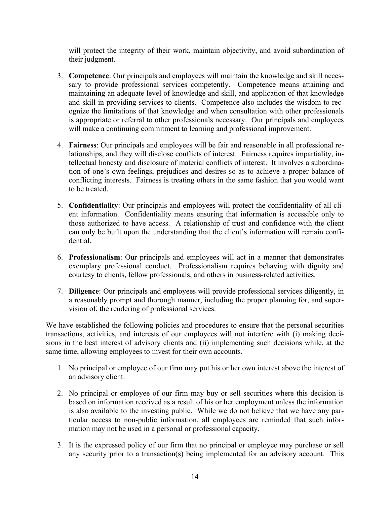will protect the integrity of their work, maintain objectivity, and avoid subordination of their judgment.

- 3. **Competence**: Our principals and employees will maintain the knowledge and skill necessary to provide professional services competently. Competence means attaining and maintaining an adequate level of knowledge and skill, and application of that knowledge and skill in providing services to clients. Competence also includes the wisdom to recognize the limitations of that knowledge and when consultation with other professionals is appropriate or referral to other professionals necessary. Our principals and employees will make a continuing commitment to learning and professional improvement.
- 4. **Fairness**: Our principals and employees will be fair and reasonable in all professional relationships, and they will disclose conflicts of interest. Fairness requires impartiality, intellectual honesty and disclosure of material conflicts of interest. It involves a subordination of one's own feelings, prejudices and desires so as to achieve a proper balance of conflicting interests. Fairness is treating others in the same fashion that you would want to be treated.
- 5. **Confidentiality**: Our principals and employees will protect the confidentiality of all client information. Confidentiality means ensuring that information is accessible only to those authorized to have access. A relationship of trust and confidence with the client can only be built upon the understanding that the client's information will remain confidential.
- 6. **Professionalism**: Our principals and employees will act in a manner that demonstrates exemplary professional conduct. Professionalism requires behaving with dignity and courtesy to clients, fellow professionals, and others in business-related activities.
- 7. **Diligence**: Our principals and employees will provide professional services diligently, in a reasonably prompt and thorough manner, including the proper planning for, and supervision of, the rendering of professional services.

We have established the following policies and procedures to ensure that the personal securities transactions, activities, and interests of our employees will not interfere with (i) making decisions in the best interest of advisory clients and (ii) implementing such decisions while, at the same time, allowing employees to invest for their own accounts.

- 1. No principal or employee of our firm may put his or her own interest above the interest of an advisory client.
- 2. No principal or employee of our firm may buy or sell securities where this decision is based on information received as a result of his or her employment unless the information is also available to the investing public. While we do not believe that we have any particular access to non-public information, all employees are reminded that such information may not be used in a personal or professional capacity.
- 3. It is the expressed policy of our firm that no principal or employee may purchase or sell any security prior to a transaction(s) being implemented for an advisory account. This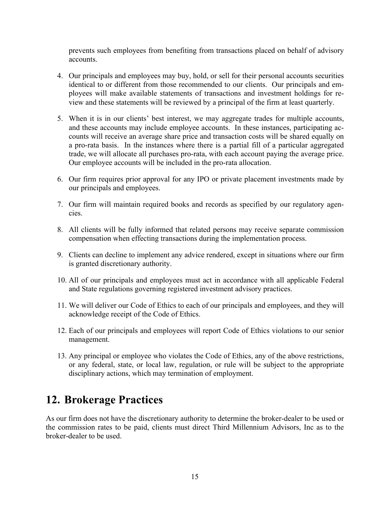prevents such employees from benefiting from transactions placed on behalf of advisory accounts.

- 4. Our principals and employees may buy, hold, or sell for their personal accounts securities identical to or different from those recommended to our clients. Our principals and employees will make available statements of transactions and investment holdings for review and these statements will be reviewed by a principal of the firm at least quarterly.
- 5. When it is in our clients' best interest, we may aggregate trades for multiple accounts, and these accounts may include employee accounts. In these instances, participating accounts will receive an average share price and transaction costs will be shared equally on a pro-rata basis. In the instances where there is a partial fill of a particular aggregated trade, we will allocate all purchases pro-rata, with each account paying the average price. Our employee accounts will be included in the pro-rata allocation.
- 6. Our firm requires prior approval for any IPO or private placement investments made by our principals and employees.
- 7. Our firm will maintain required books and records as specified by our regulatory agencies.
- 8. All clients will be fully informed that related persons may receive separate commission compensation when effecting transactions during the implementation process.
- 9. Clients can decline to implement any advice rendered, except in situations where our firm is granted discretionary authority.
- 10. All of our principals and employees must act in accordance with all applicable Federal and State regulations governing registered investment advisory practices.
- 11. We will deliver our Code of Ethics to each of our principals and employees, and they will acknowledge receipt of the Code of Ethics.
- 12. Each of our principals and employees will report Code of Ethics violations to our senior management.
- 13. Any principal or employee who violates the Code of Ethics, any of the above restrictions, or any federal, state, or local law, regulation, or rule will be subject to the appropriate disciplinary actions, which may termination of employment.

### **12. Brokerage Practices**

As our firm does not have the discretionary authority to determine the broker-dealer to be used or the commission rates to be paid, clients must direct Third Millennium Advisors, Inc as to the broker-dealer to be used.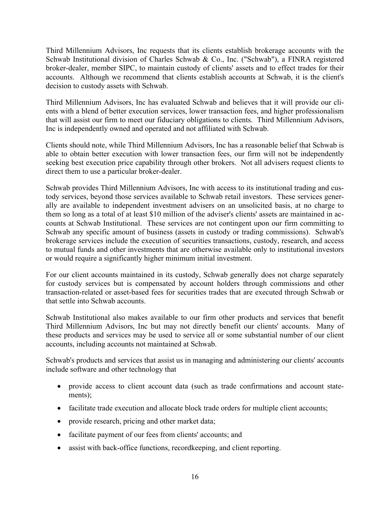Third Millennium Advisors, Inc requests that its clients establish brokerage accounts with the Schwab Institutional division of Charles Schwab & Co., Inc. ("Schwab"), a FINRA registered broker-dealer, member SIPC, to maintain custody of clients' assets and to effect trades for their accounts. Although we recommend that clients establish accounts at Schwab, it is the client's decision to custody assets with Schwab.

Third Millennium Advisors, Inc has evaluated Schwab and believes that it will provide our clients with a blend of better execution services, lower transaction fees, and higher professionalism that will assist our firm to meet our fiduciary obligations to clients. Third Millennium Advisors, Inc is independently owned and operated and not affiliated with Schwab.

Clients should note, while Third Millennium Advisors, Inc has a reasonable belief that Schwab is able to obtain better execution with lower transaction fees, our firm will not be independently seeking best execution price capability through other brokers. Not all advisers request clients to direct them to use a particular broker-dealer.

Schwab provides Third Millennium Advisors, Inc with access to its institutional trading and custody services, beyond those services available to Schwab retail investors. These services generally are available to independent investment advisers on an unsolicited basis, at no charge to them so long as a total of at least \$10 million of the adviser's clients' assets are maintained in accounts at Schwab Institutional. These services are not contingent upon our firm committing to Schwab any specific amount of business (assets in custody or trading commissions). Schwab's brokerage services include the execution of securities transactions, custody, research, and access to mutual funds and other investments that are otherwise available only to institutional investors or would require a significantly higher minimum initial investment.

For our client accounts maintained in its custody, Schwab generally does not charge separately for custody services but is compensated by account holders through commissions and other transaction-related or asset-based fees for securities trades that are executed through Schwab or that settle into Schwab accounts.

Schwab Institutional also makes available to our firm other products and services that benefit Third Millennium Advisors, Inc but may not directly benefit our clients' accounts. Many of these products and services may be used to service all or some substantial number of our client accounts, including accounts not maintained at Schwab.

Schwab's products and services that assist us in managing and administering our clients' accounts include software and other technology that

- provide access to client account data (such as trade confirmations and account statements);
- facilitate trade execution and allocate block trade orders for multiple client accounts;
- provide research, pricing and other market data;
- facilitate payment of our fees from clients' accounts; and
- assist with back-office functions, recordkeeping, and client reporting.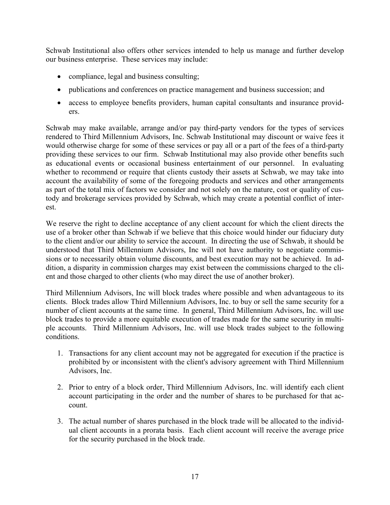Schwab Institutional also offers other services intended to help us manage and further develop our business enterprise. These services may include:

- compliance, legal and business consulting;
- publications and conferences on practice management and business succession; and
- access to employee benefits providers, human capital consultants and insurance providers.

Schwab may make available, arrange and/or pay third-party vendors for the types of services rendered to Third Millennium Advisors, Inc. Schwab Institutional may discount or waive fees it would otherwise charge for some of these services or pay all or a part of the fees of a third-party providing these services to our firm. Schwab Institutional may also provide other benefits such as educational events or occasional business entertainment of our personnel. In evaluating whether to recommend or require that clients custody their assets at Schwab, we may take into account the availability of some of the foregoing products and services and other arrangements as part of the total mix of factors we consider and not solely on the nature, cost or quality of custody and brokerage services provided by Schwab, which may create a potential conflict of interest.

We reserve the right to decline acceptance of any client account for which the client directs the use of a broker other than Schwab if we believe that this choice would hinder our fiduciary duty to the client and/or our ability to service the account. In directing the use of Schwab, it should be understood that Third Millennium Advisors, Inc will not have authority to negotiate commissions or to necessarily obtain volume discounts, and best execution may not be achieved. In addition, a disparity in commission charges may exist between the commissions charged to the client and those charged to other clients (who may direct the use of another broker).

Third Millennium Advisors, Inc will block trades where possible and when advantageous to its clients. Block trades allow Third Millennium Advisors, Inc. to buy or sell the same security for a number of client accounts at the same time. In general, Third Millennium Advisors, Inc. will use block trades to provide a more equitable execution of trades made for the same security in multiple accounts. Third Millennium Advisors, Inc. will use block trades subject to the following conditions.

- 1. Transactions for any client account may not be aggregated for execution if the practice is prohibited by or inconsistent with the client's advisory agreement with Third Millennium Advisors, Inc.
- 2. Prior to entry of a block order, Third Millennium Advisors, Inc. will identify each client account participating in the order and the number of shares to be purchased for that account.
- 3. The actual number of shares purchased in the block trade will be allocated to the individual client accounts in a prorata basis. Each client account will receive the average price for the security purchased in the block trade.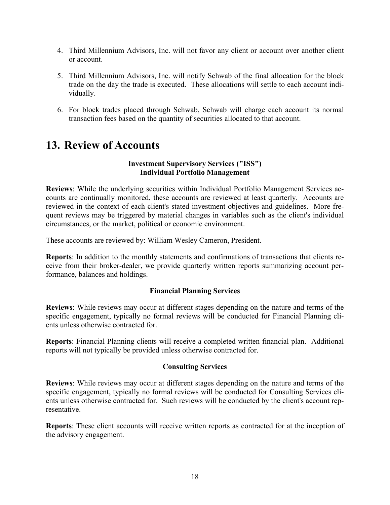- 4. Third Millennium Advisors, Inc. will not favor any client or account over another client or account.
- 5. Third Millennium Advisors, Inc. will notify Schwab of the final allocation for the block trade on the day the trade is executed. These allocations will settle to each account individually.
- 6. For block trades placed through Schwab, Schwab will charge each account its normal transaction fees based on the quantity of securities allocated to that account.

## **13. Review of Accounts**

#### **Investment Supervisory Services ("ISS") Individual Portfolio Management**

**Reviews**: While the underlying securities within Individual Portfolio Management Services accounts are continually monitored, these accounts are reviewed at least quarterly. Accounts are reviewed in the context of each client's stated investment objectives and guidelines. More frequent reviews may be triggered by material changes in variables such as the client's individual circumstances, or the market, political or economic environment.

These accounts are reviewed by: William Wesley Cameron, President.

**Reports**: In addition to the monthly statements and confirmations of transactions that clients receive from their broker-dealer, we provide quarterly written reports summarizing account performance, balances and holdings.

#### **Financial Planning Services**

**Reviews**: While reviews may occur at different stages depending on the nature and terms of the specific engagement, typically no formal reviews will be conducted for Financial Planning clients unless otherwise contracted for.

**Reports**: Financial Planning clients will receive a completed written financial plan. Additional reports will not typically be provided unless otherwise contracted for.

#### **Consulting Services**

**Reviews**: While reviews may occur at different stages depending on the nature and terms of the specific engagement, typically no formal reviews will be conducted for Consulting Services clients unless otherwise contracted for. Such reviews will be conducted by the client's account representative.

**Reports**: These client accounts will receive written reports as contracted for at the inception of the advisory engagement.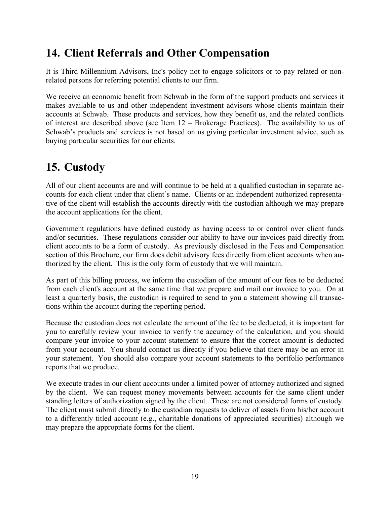# **14. Client Referrals and Other Compensation**

It is Third Millennium Advisors, Inc's policy not to engage solicitors or to pay related or nonrelated persons for referring potential clients to our firm.

We receive an economic benefit from Schwab in the form of the support products and services it makes available to us and other independent investment advisors whose clients maintain their accounts at Schwab. These products and services, how they benefit us, and the related conflicts of interest are described above (see Item 12 – Brokerage Practices). The availability to us of Schwab's products and services is not based on us giving particular investment advice, such as buying particular securities for our clients.

## **15. Custody**

All of our client accounts are and will continue to be held at a qualified custodian in separate accounts for each client under that client's name. Clients or an independent authorized representative of the client will establish the accounts directly with the custodian although we may prepare the account applications for the client.

Government regulations have defined custody as having access to or control over client funds and/or securities. These regulations consider our ability to have our invoices paid directly from client accounts to be a form of custody. As previously disclosed in the Fees and Compensation section of this Brochure, our firm does debit advisory fees directly from client accounts when authorized by the client. This is the only form of custody that we will maintain.

As part of this billing process, we inform the custodian of the amount of our fees to be deducted from each client's account at the same time that we prepare and mail our invoice to you. On at least a quarterly basis, the custodian is required to send to you a statement showing all transactions within the account during the reporting period.

Because the custodian does not calculate the amount of the fee to be deducted, it is important for you to carefully review your invoice to verify the accuracy of the calculation, and you should compare your invoice to your account statement to ensure that the correct amount is deducted from your account. You should contact us directly if you believe that there may be an error in your statement. You should also compare your account statements to the portfolio performance reports that we produce.

We execute trades in our client accounts under a limited power of attorney authorized and signed by the client. We can request money movements between accounts for the same client under standing letters of authorization signed by the client. These are not considered forms of custody. The client must submit directly to the custodian requests to deliver of assets from his/her account to a differently titled account (e.g., charitable donations of appreciated securities) although we may prepare the appropriate forms for the client.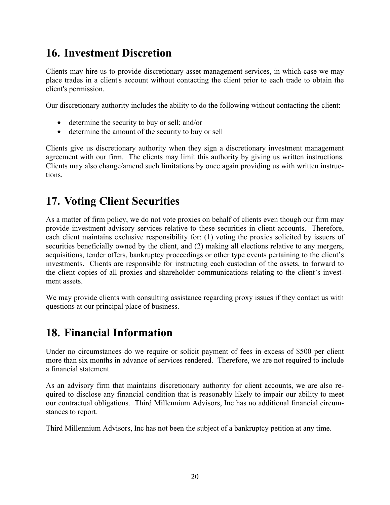# **16. Investment Discretion**

Clients may hire us to provide discretionary asset management services, in which case we may place trades in a client's account without contacting the client prior to each trade to obtain the client's permission.

Our discretionary authority includes the ability to do the following without contacting the client:

- determine the security to buy or sell; and/or
- determine the amount of the security to buy or sell

Clients give us discretionary authority when they sign a discretionary investment management agreement with our firm. The clients may limit this authority by giving us written instructions. Clients may also change/amend such limitations by once again providing us with written instructions.

## **17. Voting Client Securities**

As a matter of firm policy, we do not vote proxies on behalf of clients even though our firm may provide investment advisory services relative to these securities in client accounts. Therefore, each client maintains exclusive responsibility for: (1) voting the proxies solicited by issuers of securities beneficially owned by the client, and (2) making all elections relative to any mergers, acquisitions, tender offers, bankruptcy proceedings or other type events pertaining to the client's investments. Clients are responsible for instructing each custodian of the assets, to forward to the client copies of all proxies and shareholder communications relating to the client's investment assets.

We may provide clients with consulting assistance regarding proxy issues if they contact us with questions at our principal place of business.

### **18. Financial Information**

Under no circumstances do we require or solicit payment of fees in excess of \$500 per client more than six months in advance of services rendered. Therefore, we are not required to include a financial statement.

As an advisory firm that maintains discretionary authority for client accounts, we are also required to disclose any financial condition that is reasonably likely to impair our ability to meet our contractual obligations. Third Millennium Advisors, Inc has no additional financial circumstances to report.

Third Millennium Advisors, Inc has not been the subject of a bankruptcy petition at any time.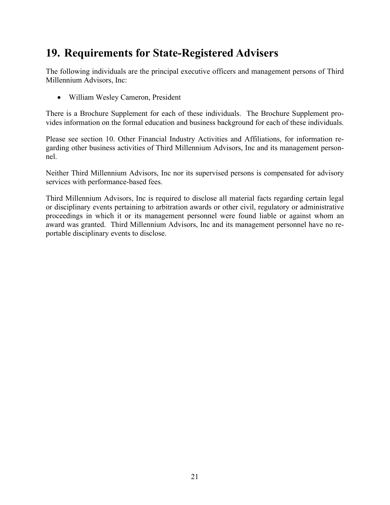# **19. Requirements for State-Registered Advisers**

The following individuals are the principal executive officers and management persons of Third Millennium Advisors, Inc:

William Wesley Cameron, President

There is a Brochure Supplement for each of these individuals. The Brochure Supplement provides information on the formal education and business background for each of these individuals.

Please see section 10. Other Financial Industry Activities and Affiliations, for information regarding other business activities of Third Millennium Advisors, Inc and its management personnel.

Neither Third Millennium Advisors, Inc nor its supervised persons is compensated for advisory services with performance-based fees.

Third Millennium Advisors, Inc is required to disclose all material facts regarding certain legal or disciplinary events pertaining to arbitration awards or other civil, regulatory or administrative proceedings in which it or its management personnel were found liable or against whom an award was granted. Third Millennium Advisors, Inc and its management personnel have no reportable disciplinary events to disclose.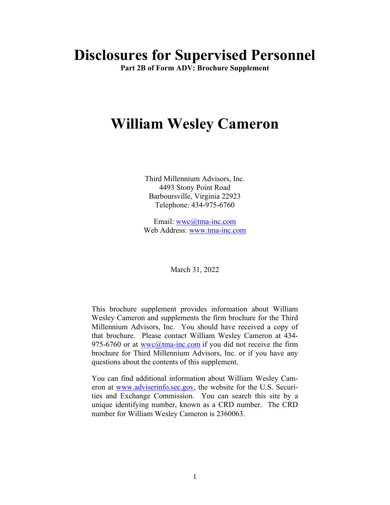# **Disclosures for Supervised Personnel**

**Part 2B of Form ADV: Brochure Supplement** 

# **William Wesley Cameron**

Third Millennium Advisors, Inc. 4493 Stony Point Road Barboursville, Virginia 22923 Telephone: 434-975-6760

Email: wwc@tma-inc.com Web Address: www.tma-inc.com

March 31, 2022

This brochure supplement provides information about William Wesley Cameron and supplements the firm brochure for the Third Millennium Advisors, Inc. You should have received a copy of that brochure. Please contact William Wesley Cameron at 434- 975-6760 or at wwc@tma-inc.com if you did not receive the firm brochure for Third Millennium Advisors, Inc. or if you have any questions about the contents of this supplement.

You can find additional information about William Wesley Cameron at www.adviserinfo.sec.gov, the website for the U.S. Securities and Exchange Commission. You can search this site by a unique identifying number, known as a CRD number. The CRD number for William Wesley Cameron is 2360063.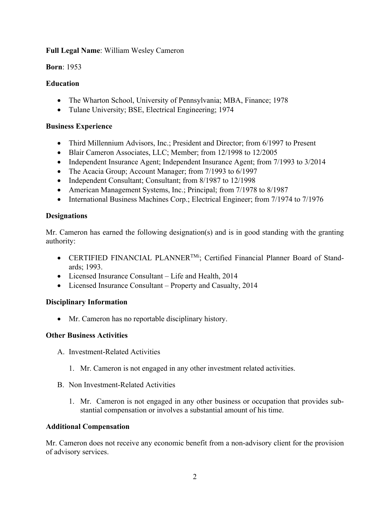#### **Full Legal Name**: William Wesley Cameron

**Born**: 1953

#### **Education**

- The Wharton School, University of Pennsylvania; MBA, Finance; 1978
- Tulane University; BSE, Electrical Engineering; 1974

### **Business Experience**

- Third Millennium Advisors, Inc.; President and Director; from 6/1997 to Present
- Blair Cameron Associates, LLC; Member; from 12/1998 to 12/2005
- Independent Insurance Agent; Independent Insurance Agent; from 7/1993 to 3/2014
- The Acacia Group; Account Manager; from 7/1993 to 6/1997
- Independent Consultant; Consultant; from 8/1987 to 12/1998
- American Management Systems, Inc.; Principal; from 7/1978 to 8/1987
- International Business Machines Corp.; Electrical Engineer; from 7/1974 to 7/1976

### **Designations**

Mr. Cameron has earned the following designation(s) and is in good standing with the granting authority:

- CERTIFIED FINANCIAL PLANNER<sup>TMi</sup>; Certified Financial Planner Board of Standards; 1993.
- Licensed Insurance Consultant Life and Health, 2014
- Licensed Insurance Consultant Property and Casualty, 2014

### **Disciplinary Information**

Mr. Cameron has no reportable disciplinary history.

### **Other Business Activities**

- A. Investment-Related Activities
	- 1. Mr. Cameron is not engaged in any other investment related activities.
- B. Non Investment-Related Activities
	- 1. Mr. Cameron is not engaged in any other business or occupation that provides substantial compensation or involves a substantial amount of his time.

### **Additional Compensation**

Mr. Cameron does not receive any economic benefit from a non-advisory client for the provision of advisory services.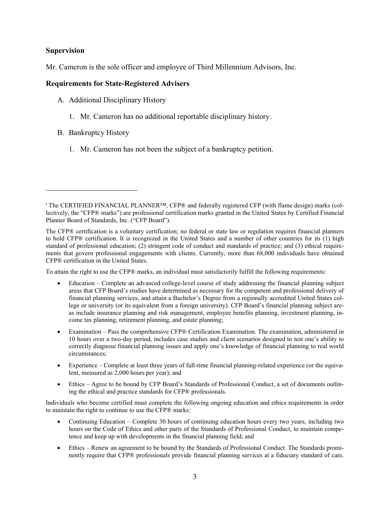#### **Supervision**

Mr. Cameron is the sole officer and employee of Third Millennium Advisors, Inc.

#### **Requirements for State-Registered Advisers**

- A. Additional Disciplinary History
	- 1. Mr. Cameron has no additional reportable disciplinary history.
- B. Bankruptcy History
	- 1. Mr. Cameron has not been the subject of a bankruptcy petition.

To attain the right to use the CFP® marks, an individual must satisfactorily fulfill the following requirements:

- Education Complete an advanced college-level course of study addressing the financial planning subject areas that CFP Board's studies have determined as necessary for the competent and professional delivery of financial planning services, and attain a Bachelor's Degree from a regionally accredited United States college or university (or its equivalent from a foreign university). CFP Board's financial planning subject areas include insurance planning and risk management, employee benefits planning, investment planning, income tax planning, retirement planning, and estate planning;
- Examination Pass the comprehensive CFP® Certification Examination. The examination, administered in 10 hours over a two-day period, includes case studies and client scenarios designed to test one's ability to correctly diagnose financial planning issues and apply one's knowledge of financial planning to real world circumstances;
- Experience Complete at least three years of full-time financial planning-related experience (or the equivalent, measured as 2,000 hours per year); and
- Ethics Agree to be bound by CFP Board's Standards of Professional Conduct, a set of documents outlining the ethical and practice standards for CFP® professionals.

Individuals who become certified must complete the following ongoing education and ethics requirements in order to maintain the right to continue to use the CFP® marks:

- Continuing Education Complete 30 hours of continuing education hours every two years, including two hours on the Code of Ethics and other parts of the Standards of Professional Conduct, to maintain competence and keep up with developments in the financial planning field; and
- Ethics Renew an agreement to be bound by the Standards of Professional Conduct. The Standards prominently require that CFP® professionals provide financial planning services at a fiduciary standard of care.

i The CERTIFIED FINANCIAL PLANNER™, CFP® and federally registered CFP (with flame design) marks (collectively, the "CFP® marks") are professional certification marks granted in the United States by Certified Financial Planner Board of Standards, Inc. ("CFP Board").

The CFP® certification is a voluntary certification; no federal or state law or regulation requires financial planners to hold CFP® certification. It is recognized in the United States and a number of other countries for its (1) high standard of professional education; (2) stringent code of conduct and standards of practice; and (3) ethical requirements that govern professional engagements with clients. Currently, more than 68,000 individuals have obtained CFP® certification in the United States.